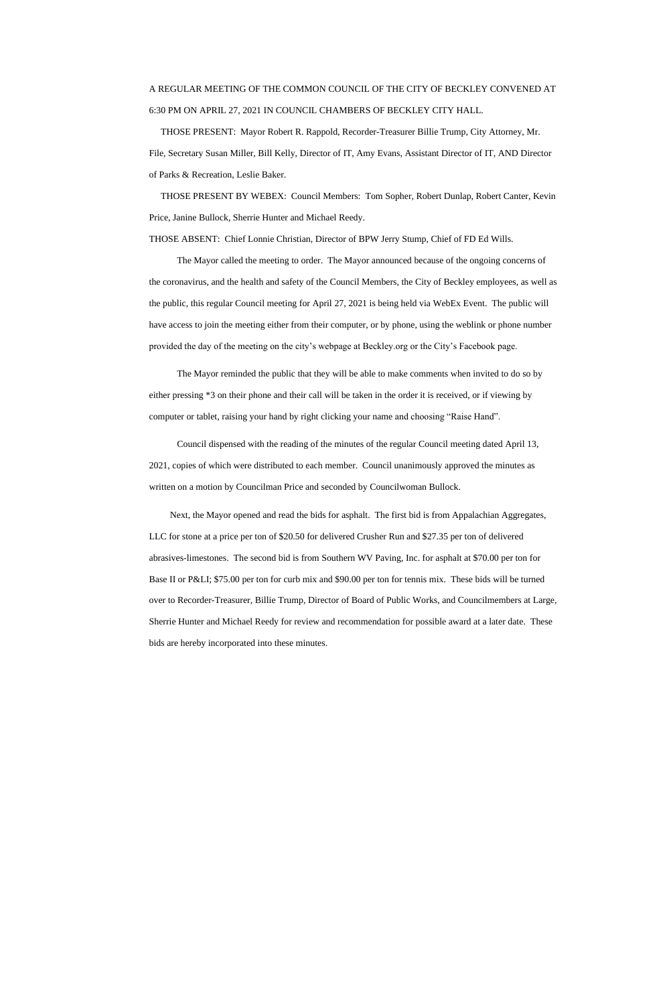## A REGULAR MEETING OF THE COMMON COUNCIL OF THE CITY OF BECKLEY CONVENED AT 6:30 PM ON APRIL 27, 2021 IN COUNCIL CHAMBERS OF BECKLEY CITY HALL.

 THOSE PRESENT: Mayor Robert R. Rappold, Recorder-Treasurer Billie Trump, City Attorney, Mr. File, Secretary Susan Miller, Bill Kelly, Director of IT, Amy Evans, Assistant Director of IT, AND Director of Parks & Recreation, Leslie Baker.

 THOSE PRESENT BY WEBEX: Council Members: Tom Sopher, Robert Dunlap, Robert Canter, Kevin Price, Janine Bullock, Sherrie Hunter and Michael Reedy.

THOSE ABSENT: Chief Lonnie Christian, Director of BPW Jerry Stump, Chief of FD Ed Wills.

The Mayor called the meeting to order. The Mayor announced because of the ongoing concerns of the coronavirus, and the health and safety of the Council Members, the City of Beckley employees, as well as the public, this regular Council meeting for April 27, 2021 is being held via WebEx Event. The public will have access to join the meeting either from their computer, or by phone, using the weblink or phone number provided the day of the meeting on the city's webpage at Beckley.org or the City's Facebook page.

The Mayor reminded the public that they will be able to make comments when invited to do so by either pressing \*3 on their phone and their call will be taken in the order it is received, or if viewing by computer or tablet, raising your hand by right clicking your name and choosing "Raise Hand".

 Council dispensed with the reading of the minutes of the regular Council meeting dated April 13, 2021, copies of which were distributed to each member. Council unanimously approved the minutes as written on a motion by Councilman Price and seconded by Councilwoman Bullock.

 Next, the Mayor opened and read the bids for asphalt. The first bid is from Appalachian Aggregates, LLC for stone at a price per ton of \$20.50 for delivered Crusher Run and \$27.35 per ton of delivered abrasives-limestones. The second bid is from Southern WV Paving, Inc. for asphalt at \$70.00 per ton for Base II or P&LI; \$75.00 per ton for curb mix and \$90.00 per ton for tennis mix. These bids will be turned over to Recorder-Treasurer, Billie Trump, Director of Board of Public Works, and Councilmembers at Large, Sherrie Hunter and Michael Reedy for review and recommendation for possible award at a later date. These bids are hereby incorporated into these minutes.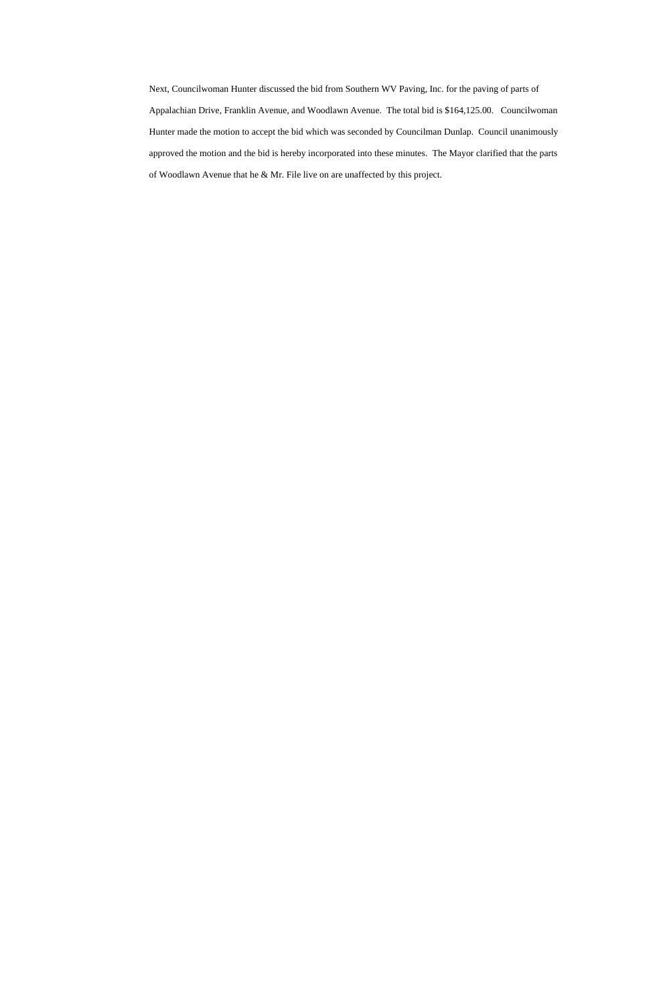Next, Councilwoman Hunter discussed the bid from Southern WV Paving, Inc. for the paving of parts of Appalachian Drive, Franklin Avenue, and Woodlawn Avenue. The total bid is \$164,125.00. Councilwoman Hunter made the motion to accept the bid which was seconded by Councilman Dunlap. Council unanimously approved the motion and the bid is hereby incorporated into these minutes. The Mayor clarified that the parts of Woodlawn Avenue that he & Mr. File live on are unaffected by this project.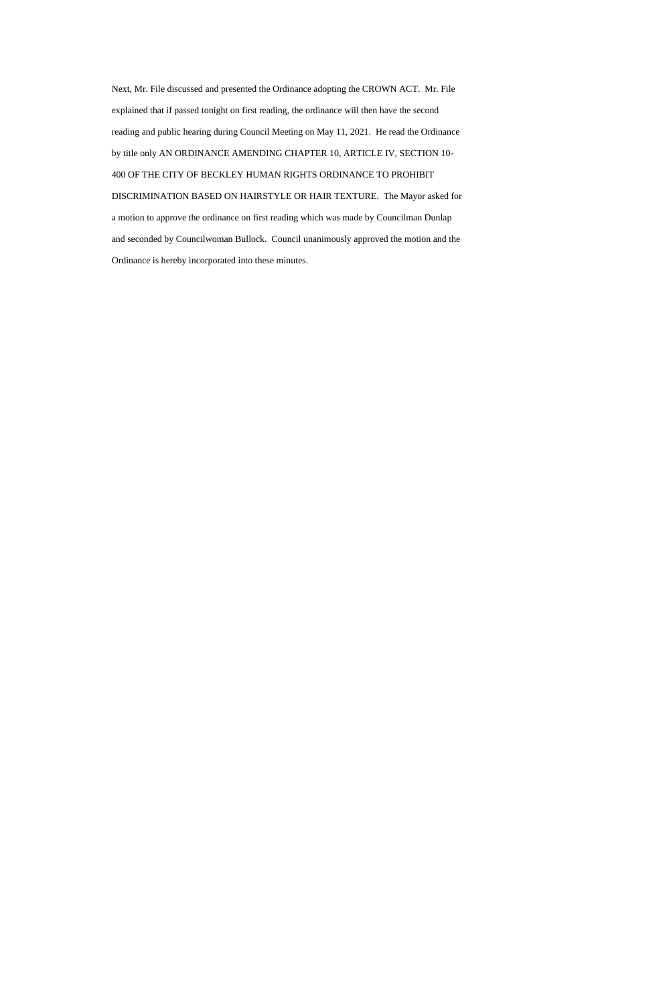Next, Mr. File discussed and presented the Ordinance adopting the CROWN ACT. Mr. File explained that if passed tonight on first reading, the ordinance will then have the second reading and public hearing during Council Meeting on May 11, 2021. He read the Ordinance by title only AN ORDINANCE AMENDING CHAPTER 10, ARTICLE IV, SECTION 10- 400 OF THE CITY OF BECKLEY HUMAN RIGHTS ORDINANCE TO PROHIBIT DISCRIMINATION BASED ON HAIRSTYLE OR HAIR TEXTURE. The Mayor asked for a motion to approve the ordinance on first reading which was made by Councilman Dunlap and seconded by Councilwoman Bullock. Council unanimously approved the motion and the Ordinance is hereby incorporated into these minutes.